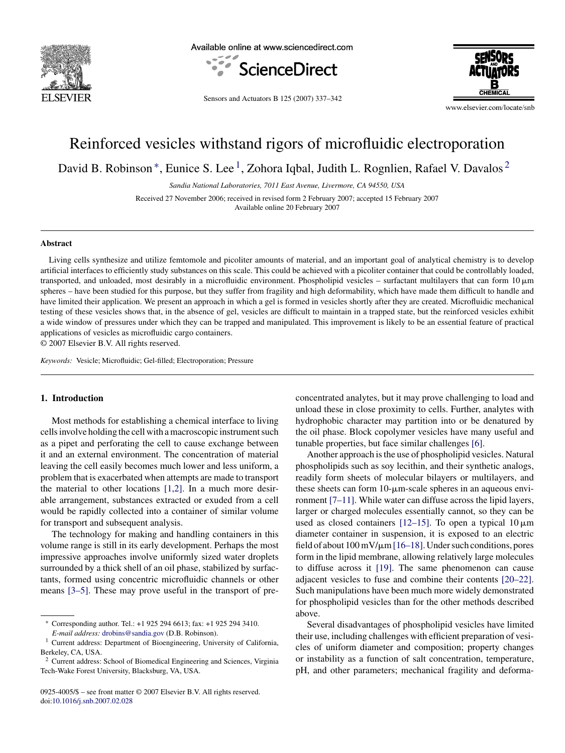

Available online at www.sciencedirect.com





Sensors and Actuators B 125 (2007) 337–342

www.elsevier.com/locate/snb

# Reinforced vesicles withstand rigors of microfluidic electroporation

David B. Robinson<sup>\*</sup>, Eunice S. Lee<sup>1</sup>, Zohora Iqbal, Judith L. Rognlien, Rafael V. Davalos<sup>2</sup>

*Sandia National Laboratories, 7011 East Avenue, Livermore, CA 94550, USA*

Received 27 November 2006; received in revised form 2 February 2007; accepted 15 February 2007 Available online 20 February 2007

## **Abstract**

Living cells synthesize and utilize femtomole and picoliter amounts of material, and an important goal of analytical chemistry is to develop artificial interfaces to efficiently study substances on this scale. This could be achieved with a picoliter container that could be controllably loaded, transported, and unloaded, most desirably in a microfluidic environment. Phospholipid vesicles – surfactant multilayers that can form  $10 \mu m$ spheres – have been studied for this purpose, but they suffer from fragility and high deformability, which have made them difficult to handle and have limited their application. We present an approach in which a gel is formed in vesicles shortly after they are created. Microfluidic mechanical testing of these vesicles shows that, in the absence of gel, vesicles are difficult to maintain in a trapped state, but the reinforced vesicles exhibit a wide window of pressures under which they can be trapped and manipulated. This improvement is likely to be an essential feature of practical applications of vesicles as microfluidic cargo containers.

© 2007 Elsevier B.V. All rights reserved.

*Keywords:* Vesicle; Microfluidic; Gel-filled; Electroporation; Pressure

### **1. Introduction**

Most methods for establishing a chemical interface to living cells involve holding the cell with a macroscopic instrument such as a pipet and perforating the cell to cause exchange between it and an external environment. The concentration of material leaving the cell easily becomes much lower and less uniform, a problem that is exacerbated when attempts are made to transport the material to other locations [\[1,2\].](#page-4-0) In a much more desirable arrangement, substances extracted or exuded from a cell would be rapidly collected into a container of similar volume for transport and subsequent analysis.

The technology for making and handling containers in this volume range is still in its early development. Perhaps the most impressive approaches involve uniformly sized water droplets surrounded by a thick shell of an oil phase, stabilized by surfactants, formed using concentric microfluidic channels or other means [\[3–5\].](#page-4-0) These may prove useful in the transport of preconcentrated analytes, but it may prove challenging to load and unload these in close proximity to cells. Further, analytes with hydrophobic character may partition into or be denatured by the oil phase. Block copolymer vesicles have many useful and tunable properties, but face similar challenges [\[6\].](#page-4-0)

Another approach is the use of phospholipid vesicles. Natural phospholipids such as soy lecithin, and their synthetic analogs, readily form sheets of molecular bilayers or multilayers, and these sheets can form  $10$ - $\mu$ m-scale spheres in an aqueous environment [\[7–11\]. W](#page-4-0)hile water can diffuse across the lipid layers, larger or charged molecules essentially cannot, so they can be used as closed containers  $[12-15]$ . To open a typical 10  $\mu$ m diameter container in suspension, it is exposed to an electric field of about  $100 \,\mathrm{mV/\mu m}$  [\[16–18\]. U](#page-5-0)nder such conditions, pores form in the lipid membrane, allowing relatively large molecules to diffuse across it [\[19\].](#page-5-0) The same phenomenon can cause adjacent vesicles to fuse and combine their contents [\[20–22\].](#page-5-0) Such manipulations have been much more widely demonstrated for phospholipid vesicles than for the other methods described above.

Several disadvantages of phospholipid vesicles have limited their use, including challenges with efficient preparation of vesicles of uniform diameter and composition; property changes or instability as a function of salt concentration, temperature, pH, and other parameters; mechanical fragility and deforma-

<sup>∗</sup> Corresponding author. Tel.: +1 925 294 6613; fax: +1 925 294 3410.

*E-mail address:* [drobins@sandia.gov](mailto:drobins@sandia.gov) (D.B. Robinson).

<sup>&</sup>lt;sup>1</sup> Current address: Department of Bioengineering, University of California, Berkeley, CA, USA.

<sup>2</sup> Current address: School of Biomedical Engineering and Sciences, Virginia Tech-Wake Forest University, Blacksburg, VA, USA.

<sup>0925-4005/\$ –</sup> see front matter © 2007 Elsevier B.V. All rights reserved. doi[:10.1016/j.snb.2007.02.028](dx.doi.org/10.1016/j.snb.2007.02.028)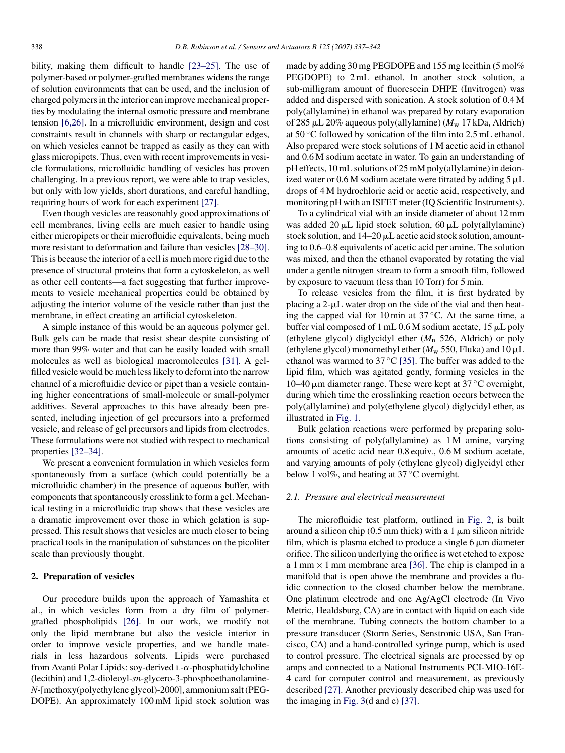bility, making them difficult to handle [\[23–25\].](#page-5-0) The use of polymer-based or polymer-grafted membranes widens the range of solution environments that can be used, and the inclusion of charged polymers in the interior can improve mechanical properties by modulating the internal osmotic pressure and membrane tension [\[6,26\].](#page-4-0) In a microfluidic environment, design and cost constraints result in channels with sharp or rectangular edges, on which vesicles cannot be trapped as easily as they can with glass micropipets. Thus, even with recent improvements in vesicle formulations, microfluidic handling of vesicles has proven challenging. In a previous report, we were able to trap vesicles, but only with low yields, short durations, and careful handling, requiring hours of work for each experiment [\[27\].](#page-5-0)

Even though vesicles are reasonably good approximations of cell membranes, living cells are much easier to handle using either micropipets or their microfluidic equivalents, being much more resistant to deformation and failure than vesicles [\[28–30\].](#page-5-0) This is because the interior of a cell is much more rigid due to the presence of structural proteins that form a cytoskeleton, as well as other cell contents—a fact suggesting that further improvements to vesicle mechanical properties could be obtained by adjusting the interior volume of the vesicle rather than just the membrane, in effect creating an artificial cytoskeleton.

A simple instance of this would be an aqueous polymer gel. Bulk gels can be made that resist shear despite consisting of more than 99% water and that can be easily loaded with small molecules as well as biological macromolecules [\[31\].](#page-5-0) A gelfilled vesicle would be much less likely to deform into the narrow channel of a microfluidic device or pipet than a vesicle containing higher concentrations of small-molecule or small-polymer additives. Several approaches to this have already been presented, including injection of gel precursors into a preformed vesicle, and release of gel precursors and lipids from electrodes. These formulations were not studied with respect to mechanical properties [\[32–34\].](#page-5-0)

We present a convenient formulation in which vesicles form spontaneously from a surface (which could potentially be a microfluidic chamber) in the presence of aqueous buffer, with components that spontaneously crosslink to form a gel. Mechanical testing in a microfluidic trap shows that these vesicles are a dramatic improvement over those in which gelation is suppressed. This result shows that vesicles are much closer to being practical tools in the manipulation of substances on the picoliter scale than previously thought.

## **2. Preparation of vesicles**

Our procedure builds upon the approach of Yamashita et al., in which vesicles form from a dry film of polymergrafted phospholipids [\[26\].](#page-5-0) In our work, we modify not only the lipid membrane but also the vesicle interior in order to improve vesicle properties, and we handle materials in less hazardous solvents. Lipids were purchased from Avanti Polar Lipids: soy-derived  $L-\alpha$ -phosphatidylcholine (lecithin) and 1,2-dioleoyl-*sn*-glycero-3-phosphoethanolamine-*N*-[methoxy(polyethylene glycol)-2000], ammonium salt (PEG-DOPE). An approximately 100 mM lipid stock solution was

made by adding 30 mg PEGDOPE and 155 mg lecithin (5 mol% PEGDOPE) to 2 mL ethanol. In another stock solution, a sub-milligram amount of fluorescein DHPE (Invitrogen) was added and dispersed with sonication. A stock solution of 0.4 M poly(allylamine) in ethanol was prepared by rotary evaporation of 285-L 20% aqueous poly(allylamine) (*M*<sup>w</sup> 17 kDa, Aldrich) at 50 ◦C followed by sonication of the film into 2.5 mL ethanol. Also prepared were stock solutions of 1 M acetic acid in ethanol and 0.6 M sodium acetate in water. To gain an understanding of pH effects, 10 mL solutions of 25 mM poly(allylamine) in deionized water or  $0.6$  M sodium acetate were titrated by adding  $5 \mu L$ drops of 4 M hydrochloric acid or acetic acid, respectively, and monitoring pH with an ISFET meter (IQ Scientific Instruments).

To a cylindrical vial with an inside diameter of about 12 mm was added  $20 \mu L$  lipid stock solution,  $60 \mu L$  poly(allylamine) stock solution, and  $14-20 \mu L$  acetic acid stock solution, amounting to 0.6–0.8 equivalents of acetic acid per amine. The solution was mixed, and then the ethanol evaporated by rotating the vial under a gentle nitrogen stream to form a smooth film, followed by exposure to vacuum (less than 10 Torr) for 5 min.

To release vesicles from the film, it is first hydrated by placing a  $2-\mu L$  water drop on the side of the vial and then heating the capped vial for 10 min at  $37^{\circ}$ C. At the same time, a buffer vial composed of 1 mL 0.6 M sodium acetate, 15 µL poly (ethylene glycol) diglycidyl ether (*M*<sup>n</sup> 526, Aldrich) or poly (ethylene glycol) monomethyl ether ( $M_{\rm w}$  550, Fluka) and 10  $\mu$ L ethanol was warmed to  $37^{\circ}$ C [\[35\].](#page-5-0) The buffer was added to the lipid film, which was agitated gently, forming vesicles in the 10–40  $\mu$ m diameter range. These were kept at 37 °C overnight, during which time the crosslinking reaction occurs between the poly(allylamine) and poly(ethylene glycol) diglycidyl ether, as illustrated in [Fig. 1.](#page-2-0)

Bulk gelation reactions were performed by preparing solutions consisting of poly(allylamine) as 1 M amine, varying amounts of acetic acid near 0.8 equiv., 0.6 M sodium acetate, and varying amounts of poly (ethylene glycol) diglycidyl ether below 1 vol%, and heating at  $37^{\circ}$ C overnight.

# *2.1. Pressure and electrical measurement*

The microfluidic test platform, outlined in [Fig. 2,](#page-2-0) is built around a silicon chip  $(0.5 \text{ mm thick})$  with a 1  $\mu$ m silicon nitride film, which is plasma etched to produce a single  $6 \mu m$  diameter orifice. The silicon underlying the orifice is wet etched to expose a 1 mm  $\times$  1 mm membrane area [\[36\].](#page-5-0) The chip is clamped in a manifold that is open above the membrane and provides a fluidic connection to the closed chamber below the membrane. One platinum electrode and one Ag/AgCl electrode (In Vivo Metric, Healdsburg, CA) are in contact with liquid on each side of the membrane. Tubing connects the bottom chamber to a pressure transducer (Storm Series, Senstronic USA, San Francisco, CA) and a hand-controlled syringe pump, which is used to control pressure. The electrical signals are processed by op amps and connected to a National Instruments PCI-MIO-16E-4 card for computer control and measurement, as previously described [\[27\]. A](#page-5-0)nother previously described chip was used for the imaging in [Fig. 3\(d](#page-2-0) and e) [\[37\].](#page-5-0)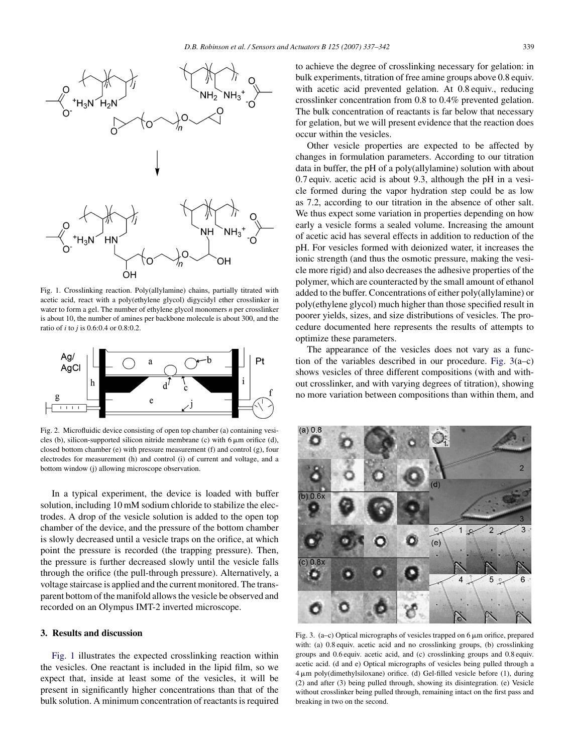<span id="page-2-0"></span>

Fig. 1. Crosslinking reaction. Poly(allylamine) chains, partially titrated with acetic acid, react with a poly(ethylene glycol) digycidyl ether crosslinker in water to form a gel. The number of ethylene glycol monomers *n* per crosslinker is about 10, the number of amines per backbone molecule is about 300, and the ratio of *i* to *j* is 0.6:0.4 or 0.8:0.2.



Fig. 2. Microfluidic device consisting of open top chamber (a) containing vesicles (b), silicon-supported silicon nitride membrane (c) with  $6 \mu m$  orifice (d), closed bottom chamber (e) with pressure measurement (f) and control (g), four electrodes for measurement (h) and control (i) of current and voltage, and a bottom window (j) allowing microscope observation.

In a typical experiment, the device is loaded with buffer solution, including 10 mM sodium chloride to stabilize the electrodes. A drop of the vesicle solution is added to the open top chamber of the device, and the pressure of the bottom chamber is slowly decreased until a vesicle traps on the orifice, at which point the pressure is recorded (the trapping pressure). Then, the pressure is further decreased slowly until the vesicle falls through the orifice (the pull-through pressure). Alternatively, a voltage staircase is applied and the current monitored. The transparent bottom of the manifold allows the vesicle be observed and recorded on an Olympus IMT-2 inverted microscope.

# **3. Results and discussion**

Fig. 1 illustrates the expected crosslinking reaction within the vesicles. One reactant is included in the lipid film, so we expect that, inside at least some of the vesicles, it will be present in significantly higher concentrations than that of the bulk solution. A minimum concentration of reactants is required

to achieve the degree of crosslinking necessary for gelation: in bulk experiments, titration of free amine groups above 0.8 equiv. with acetic acid prevented gelation. At 0.8 equiv., reducing crosslinker concentration from 0.8 to 0.4% prevented gelation. The bulk concentration of reactants is far below that necessary for gelation, but we will present evidence that the reaction does occur within the vesicles.

Other vesicle properties are expected to be affected by changes in formulation parameters. According to our titration data in buffer, the pH of a poly(allylamine) solution with about 0.7 equiv. acetic acid is about 9.3, although the pH in a vesicle formed during the vapor hydration step could be as low as 7.2, according to our titration in the absence of other salt. We thus expect some variation in properties depending on how early a vesicle forms a sealed volume. Increasing the amount of acetic acid has several effects in addition to reduction of the pH. For vesicles formed with deionized water, it increases the ionic strength (and thus the osmotic pressure, making the vesicle more rigid) and also decreases the adhesive properties of the polymer, which are counteracted by the small amount of ethanol added to the buffer. Concentrations of either poly(allylamine) or poly(ethylene glycol) much higher than those specified result in poorer yields, sizes, and size distributions of vesicles. The procedure documented here represents the results of attempts to optimize these parameters.

The appearance of the vesicles does not vary as a function of the variables described in our procedure. Fig. 3(a–c) shows vesicles of three different compositions (with and without crosslinker, and with varying degrees of titration), showing no more variation between compositions than within them, and



Fig. 3. (a-c) Optical micrographs of vesicles trapped on 6  $\mu$ m orifice, prepared with: (a) 0.8 equiv. acetic acid and no crosslinking groups, (b) crosslinking groups and 0.6 equiv. acetic acid, and (c) crosslinking groups and 0.8 equiv. acetic acid. (d and e) Optical micrographs of vesicles being pulled through a 4-m poly(dimethylsiloxane) orifice. (d) Gel-filled vesicle before (1), during (2) and after (3) being pulled through, showing its disintegration. (e) Vesicle without crosslinker being pulled through, remaining intact on the first pass and breaking in two on the second.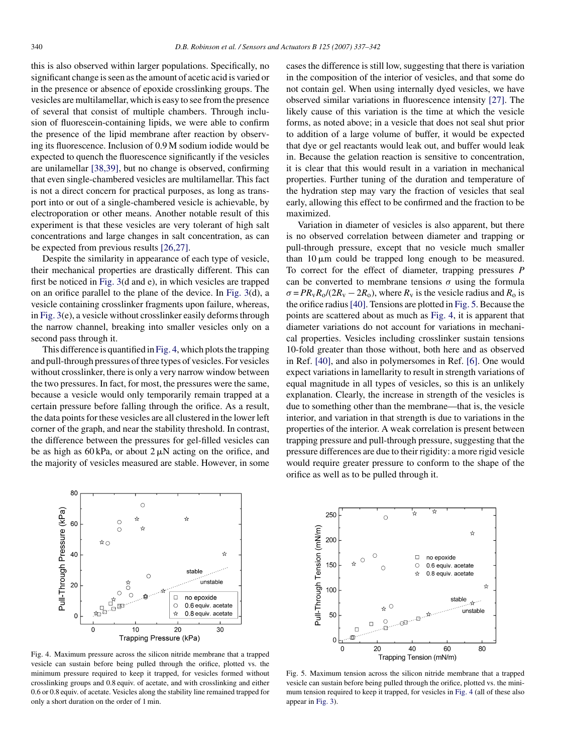this is also observed within larger populations. Specifically, no significant change is seen as the amount of acetic acid is varied or in the presence or absence of epoxide crosslinking groups. The vesicles are multilamellar, which is easy to see from the presence of several that consist of multiple chambers. Through inclusion of fluorescein-containing lipids, we were able to confirm the presence of the lipid membrane after reaction by observing its fluorescence. Inclusion of 0.9 M sodium iodide would be expected to quench the fluorescence significantly if the vesicles are unilamellar [\[38,39\],](#page-5-0) but no change is observed, confirming that even single-chambered vesicles are multilamellar. This fact is not a direct concern for practical purposes, as long as transport into or out of a single-chambered vesicle is achievable, by electroporation or other means. Another notable result of this experiment is that these vesicles are very tolerant of high salt concentrations and large changes in salt concentration, as can be expected from previous results [\[26,27\].](#page-5-0)

Despite the similarity in appearance of each type of vesicle, their mechanical properties are drastically different. This can first be noticed in [Fig. 3\(d](#page-2-0) and e), in which vesicles are trapped on an orifice parallel to the plane of the device. In [Fig. 3\(d](#page-2-0)), a vesicle containing crosslinker fragments upon failure, whereas, in [Fig. 3\(e](#page-2-0)), a vesicle without crosslinker easily deforms through the narrow channel, breaking into smaller vesicles only on a second pass through it.

This difference is quantified in Fig. 4, which plots the trapping and pull-through pressures of three types of vesicles. For vesicles without crosslinker, there is only a very narrow window between the two pressures. In fact, for most, the pressures were the same, because a vesicle would only temporarily remain trapped at a certain pressure before falling through the orifice. As a result, the data points for these vesicles are all clustered in the lower left corner of the graph, and near the stability threshold. In contrast, the difference between the pressures for gel-filled vesicles can be as high as  $60 \text{ kPa}$ , or about  $2 \mu\text{N}$  acting on the orifice, and the majority of vesicles measured are stable. However, in some



Fig. 4. Maximum pressure across the silicon nitride membrane that a trapped vesicle can sustain before being pulled through the orifice, plotted vs. the minimum pressure required to keep it trapped, for vesicles formed without crosslinking groups and 0.8 equiv. of acetate, and with crosslinking and either 0.6 or 0.8 equiv. of acetate. Vesicles along the stability line remained trapped for only a short duration on the order of 1 min.

cases the difference is still low, suggesting that there is variation in the composition of the interior of vesicles, and that some do not contain gel. When using internally dyed vesicles, we have observed similar variations in fluorescence intensity [\[27\].](#page-5-0) The likely cause of this variation is the time at which the vesicle forms, as noted above; in a vesicle that does not seal shut prior to addition of a large volume of buffer, it would be expected that dye or gel reactants would leak out, and buffer would leak in. Because the gelation reaction is sensitive to concentration, it is clear that this would result in a variation in mechanical properties. Further tuning of the duration and temperature of the hydration step may vary the fraction of vesicles that seal early, allowing this effect to be confirmed and the fraction to be maximized.

Variation in diameter of vesicles is also apparent, but there is no observed correlation between diameter and trapping or pull-through pressure, except that no vesicle much smaller than  $10 \mu m$  could be trapped long enough to be measured. To correct for the effect of diameter, trapping pressures *P* can be converted to membrane tensions  $\sigma$  using the formula  $\sigma = PR_vR_o/(2R_v - 2R_o)$ , where  $R_v$  is the vesicle radius and  $R_o$  is the orifice radius[\[40\]. T](#page-5-0)ensions are plotted in Fig. 5. Because the points are scattered about as much as Fig. 4, it is apparent that diameter variations do not account for variations in mechanical properties. Vesicles including crosslinker sustain tensions 10-fold greater than those without, both here and as observed in Ref. [\[40\], a](#page-5-0)nd also in polymersomes in Ref. [\[6\].](#page-4-0) One would expect variations in lamellarity to result in strength variations of equal magnitude in all types of vesicles, so this is an unlikely explanation. Clearly, the increase in strength of the vesicles is due to something other than the membrane—that is, the vesicle interior, and variation in that strength is due to variations in the properties of the interior. A weak correlation is present between trapping pressure and pull-through pressure, suggesting that the pressure differences are due to their rigidity: a more rigid vesicle would require greater pressure to conform to the shape of the orifice as well as to be pulled through it.



Fig. 5. Maximum tension across the silicon nitride membrane that a trapped vesicle can sustain before being pulled through the orifice, plotted vs. the minimum tension required to keep it trapped, for vesicles in Fig. 4 (all of these also appear in [Fig. 3\).](#page-2-0)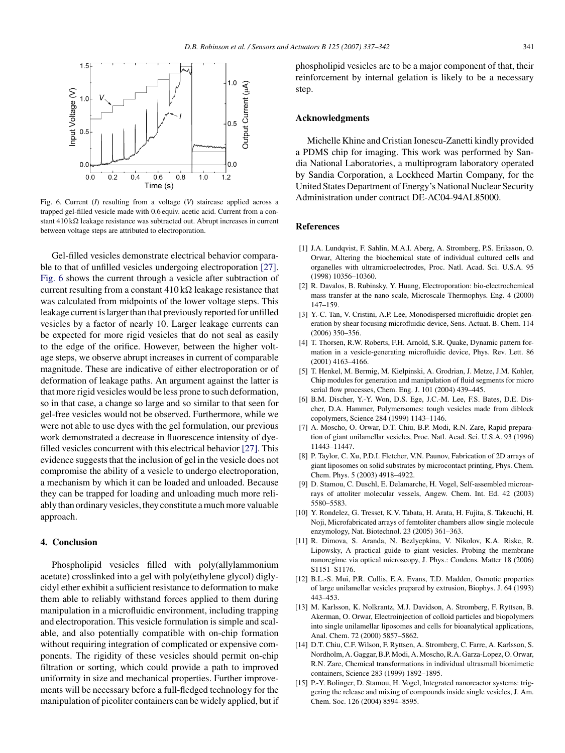<span id="page-4-0"></span>

Fig. 6. Current (*I*) resulting from a voltage (*V*) staircase applied across a trapped gel-filled vesicle made with 0.6 equiv. acetic acid. Current from a constant  $410 \text{ k}\Omega$  leakage resistance was subtracted out. Abrupt increases in current between voltage steps are attributed to electroporation.

Gel-filled vesicles demonstrate electrical behavior comparable to that of unfilled vesicles undergoing electroporation [\[27\].](#page-5-0) Fig. 6 shows the current through a vesicle after subtraction of current resulting from a constant  $410 \text{ k}\Omega$  leakage resistance that was calculated from midpoints of the lower voltage steps. This leakage current is larger than that previously reported for unfilled vesicles by a factor of nearly 10. Larger leakage currents can be expected for more rigid vesicles that do not seal as easily to the edge of the orifice. However, between the higher voltage steps, we observe abrupt increases in current of comparable magnitude. These are indicative of either electroporation or of deformation of leakage paths. An argument against the latter is that more rigid vesicles would be less prone to such deformation, so in that case, a change so large and so similar to that seen for gel-free vesicles would not be observed. Furthermore, while we were not able to use dyes with the gel formulation, our previous work demonstrated a decrease in fluorescence intensity of dyefilled vesicles concurrent with this electrical behavior [\[27\]. T](#page-5-0)his evidence suggests that the inclusion of gel in the vesicle does not compromise the ability of a vesicle to undergo electroporation, a mechanism by which it can be loaded and unloaded. Because they can be trapped for loading and unloading much more reliably than ordinary vesicles, they constitute a much more valuable approach.

# **4. Conclusion**

Phospholipid vesicles filled with poly(allylammonium acetate) crosslinked into a gel with poly(ethylene glycol) diglycidyl ether exhibit a sufficient resistance to deformation to make them able to reliably withstand forces applied to them during manipulation in a microfluidic environment, including trapping and electroporation. This vesicle formulation is simple and scalable, and also potentially compatible with on-chip formation without requiring integration of complicated or expensive components. The rigidity of these vesicles should permit on-chip filtration or sorting, which could provide a path to improved uniformity in size and mechanical properties. Further improvements will be necessary before a full-fledged technology for the manipulation of picoliter containers can be widely applied, but if phospholipid vesicles are to be a major component of that, their reinforcement by internal gelation is likely to be a necessary step.

# **Acknowledgments**

Michelle Khine and Cristian Ionescu-Zanetti kindly provided a PDMS chip for imaging. This work was performed by Sandia National Laboratories, a multiprogram laboratory operated by Sandia Corporation, a Lockheed Martin Company, for the United States Department of Energy's National Nuclear Security Administration under contract DE-AC04-94AL85000.

### **References**

- [1] J.A. Lundqvist, F. Sahlin, M.A.I. Aberg, A. Stromberg, P.S. Eriksson, O. Orwar, Altering the biochemical state of individual cultured cells and organelles with ultramicroelectrodes, Proc. Natl. Acad. Sci. U.S.A. 95 (1998) 10356–10360.
- [2] R. Davalos, B. Rubinsky, Y. Huang, Electroporation: bio-electrochemical mass transfer at the nano scale, Microscale Thermophys. Eng. 4 (2000) 147–159.
- [3] Y.-C. Tan, V. Cristini, A.P. Lee, Monodispersed microfluidic droplet generation by shear focusing microfluidic device, Sens. Actuat. B. Chem. 114 (2006) 350–356.
- [4] T. Thorsen, R.W. Roberts, F.H. Arnold, S.R. Quake, Dynamic pattern formation in a vesicle-generating microfluidic device, Phys. Rev. Lett. 86 (2001) 4163–4166.
- [5] T. Henkel, M. Bermig, M. Kielpinski, A. Grodrian, J. Metze, J.M. Kohler, Chip modules for generation and manipulation of fluid segments for micro serial flow processes, Chem. Eng. J. 101 (2004) 439–445.
- [6] B.M. Discher, Y.-Y. Won, D.S. Ege, J.C.-M. Lee, F.S. Bates, D.E. Discher, D.A. Hammer, Polymersomes: tough vesicles made from diblock copolymers, Science 284 (1999) 1143–1146.
- [7] A. Moscho, O. Orwar, D.T. Chiu, B.P. Modi, R.N. Zare, Rapid preparation of giant unilamellar vesicles, Proc. Natl. Acad. Sci. U.S.A. 93 (1996) 11443–11447.
- [8] P. Taylor, C. Xu, P.D.I. Fletcher, V.N. Paunov, Fabrication of 2D arrays of giant liposomes on solid substrates by microcontact printing, Phys. Chem. Chem. Phys. 5 (2003) 4918–4922.
- [9] D. Stamou, C. Duschl, E. Delamarche, H. Vogel, Self-assembled microarrays of attoliter molecular vessels, Angew. Chem. Int. Ed. 42 (2003) 5580–5583.
- [10] Y. Rondelez, G. Tresset, K.V. Tabata, H. Arata, H. Fujita, S. Takeuchi, H. Noji, Microfabricated arrays of femtoliter chambers allow single molecule enzymology, Nat. Biotechnol. 23 (2005) 361–363.
- [11] R. Dimova, S. Aranda, N. Bezlyepkina, V. Nikolov, K.A. Riske, R. Lipowsky, A practical guide to giant vesicles. Probing the membrane nanoregime via optical microscopy, J. Phys.: Condens. Matter 18 (2006) S1151–S1176.
- [12] B.L.-S. Mui, P.R. Cullis, E.A. Evans, T.D. Madden, Osmotic properties of large unilamellar vesicles prepared by extrusion, Biophys. J. 64 (1993) 443–453.
- [13] M. Karlsson, K. Nolkrantz, M.J. Davidson, A. Stromberg, F. Ryttsen, B. Akerman, O. Orwar, Electroinjection of colloid particles and biopolymers into single unilamellar liposomes and cells for bioanalytical applications, Anal. Chem. 72 (2000) 5857–5862.
- [14] D.T. Chiu, C.F. Wilson, F. Ryttsen, A. Stromberg, C. Farre, A. Karlsson, S. Nordholm, A. Gaggar, B.P. Modi, A. Moscho, R.A. Garza-Lopez, O. Orwar, R.N. Zare, Chemical transformations in individual ultrasmall biomimetic containers, Science 283 (1999) 1892–1895.
- [15] P.-Y. Bolinger, D. Stamou, H. Vogel, Integrated nanoreactor systems: triggering the release and mixing of compounds inside single vesicles, J. Am. Chem. Soc. 126 (2004) 8594–8595.